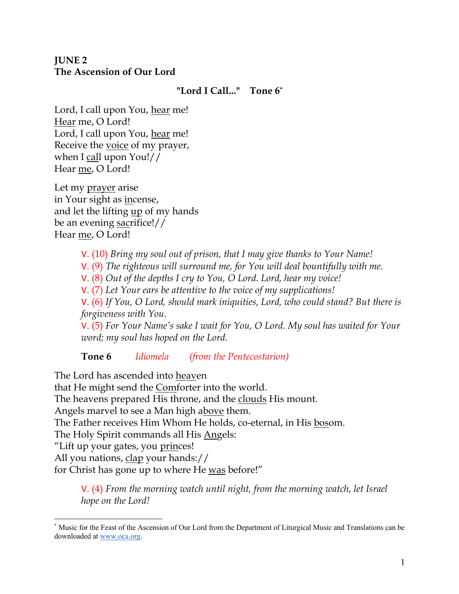## **JUNE 2 The Ascension of Our Lord**

#### **"Lord I Call..." Tone 6\***

Lord, I call upon You, hear me! Hear me, O Lord! Lord, I call upon You, hear me! Receive the voice of my prayer, when I call upon You!// Hear me, O Lord!

Let my prayer arise in Your sight as incense, and let the lifting up of my hands be an evening sacrifice!// Hear me, O Lord!

> V. (10) *Bring my soul out of prison, that I may give thanks to Your Name!*  V. (9) *The righteous will surround me, for You will deal bountifully with me.*  V. (8) *Out of the depths I cry to You, O Lord. Lord, hear my voice!*  V. (7) *Let Your ears be attentive to the voice of my supplications!* V. (6) *If You, O Lord, should mark iniquities, Lord, who could stand? But there is forgiveness with You.*  V. (5) *For Your Name's sake I wait for You, O Lord. My soul has waited for Your word; my soul has hoped on the Lord.*

**Tone 6** *Idiomela (from the Pentecostarion)*

The Lord has ascended into heaven

that He might send the Comforter into the world.

The heavens prepared His throne, and the clouds His mount.

Angels marvel to see a Man high above them.

The Father receives Him Whom He holds, co-eternal, in His bosom.

The Holy Spirit commands all His Angels:

"Lift up your gates, you <u>princes</u>!

All you nations, clap your hands://

for Christ has gone up to where He was before!"

V. (4) *From the morning watch until night, from the morning watch, let Israel hope on the Lord!* 

<sup>\*</sup> Music for the Feast of the Ascension of Our Lord from the Department of Liturgical Music and Translations can be downloaded at www.oca.org.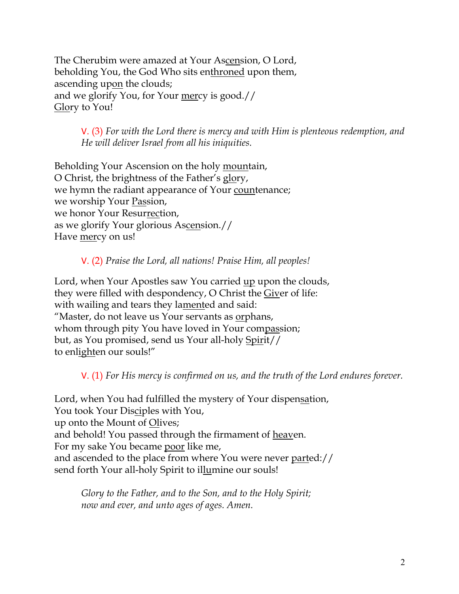The Cherubim were amazed at Your Ascension, O Lord, beholding You, the God Who sits enthroned upon them, ascending upon the clouds; and we glorify You, for Your mercy is good.// Glory to You!

> V. (3) *For with the Lord there is mercy and with Him is plenteous redemption, and He will deliver Israel from all his iniquities.*

Beholding Your Ascension on the holy mountain, O Christ, the brightness of the Father's glory, we hymn the radiant appearance of Your countenance; we worship Your Passion, we honor Your Resurrection, as we glorify Your glorious Ascension.// Have mercy on us!

## V. (2) *Praise the Lord, all nations! Praise Him, all peoples!*

Lord, when Your Apostles saw You carried up upon the clouds, they were filled with despondency, O Christ the Giver of life: with wailing and tears they lamented and said: "Master, do not leave us Your servants as orphans, whom through pity You have loved in Your compassion; but, as You promised, send us Your all-holy Spirit// to enlighten our souls!"

V. (1) *For His mercy is confirmed on us, and the truth of the Lord endures forever.* 

Lord, when You had fulfilled the mystery of Your dispensation, You took Your Disciples with You, up onto the Mount of Olives; and behold! You passed through the firmament of heaven. For my sake You became poor like me, and ascended to the place from where You were never parted:// send forth Your all-holy Spirit to illumine our souls!

*Glory to the Father, and to the Son, and to the Holy Spirit; now and ever, and unto ages of ages. Amen.*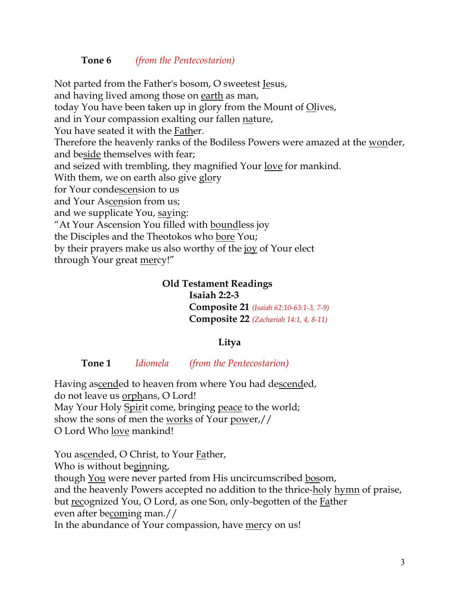#### **Tone 6** *(from the Pentecostarion)*

Not parted from the Father's bosom, O sweetest Jesus, and having lived among those on earth as man, today You have been taken up in glory from the Mount of Olives, and in Your compassion exalting our fallen nature, You have seated it with the Father. Therefore the heavenly ranks of the Bodiless Powers were amazed at the <u>won</u>der, and beside themselves with fear; and seized with trembling, they magnified Your love for mankind. With them, we on earth also give glory for Your condescension to us and Your Ascension from us; and we supplicate You, saying: "At Your Ascension You filled with boundless joy the Disciples and the Theotokos who bore You; by their prayers make us also worthy of the joy of Your elect through Your great mercy!"

#### **Old Testament Readings**

**Isaiah 2:2-3 Composite 21** *(Isaiah 62:10-63:1-3, 7-9)* **Composite 22** *(Zachariah 14:1, 4, 8-11)*

## **Litya**

**Tone 1** *Idiomela (from the Pentecostarion)*

Having ascended to heaven from where You had descended, do not leave us orphans, O Lord! May Your Holy Spirit come, bringing peace to the world; show the sons of men the <u>works</u> of Your power,// O Lord Who love mankind!

You ascended, O Christ, to Your Father, Who is without beginning, though You were never parted from His uncircumscribed bosom, and the heavenly Powers accepted no addition to the thrice-holy hymn of praise, but recognized You, O Lord, as one Son, only-begotten of the Father even after becoming man.// In the abundance of Your compassion, have mercy on us!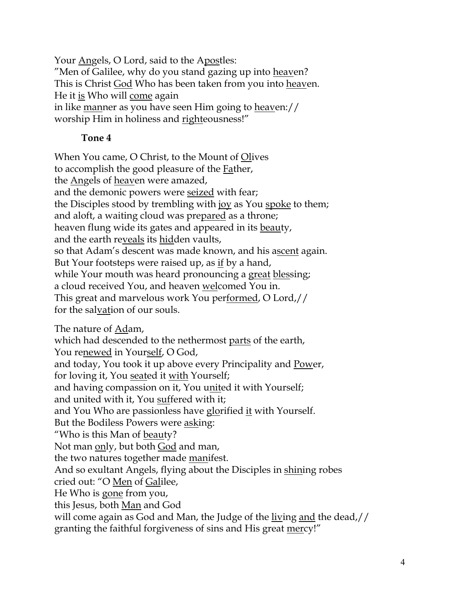Your Angels, O Lord, said to the Apostles: "Men of Galilee, why do you stand gazing up into heaven? This is Christ God Who has been taken from you into heaven. He it is Who will come again in like manner as you have seen Him going to heaven:// worship Him in holiness and righteousness!"

# **Tone 4**

When You came, O Christ, to the Mount of Olives to accomplish the good pleasure of the Father, the <u>Angels</u> of <u>heav</u>en were amazed, and the demonic powers were seized with fear; the Disciples stood by trembling with joy as You spoke to them; and aloft, a waiting cloud was prepared as a throne; heaven flung wide its gates and appeared in its beauty, and the earth reveals its hidden vaults, so that Adam's descent was made known, and his ascent again. But Your footsteps were raised up, as <u>if</u> by a hand, while Your mouth was heard pronouncing a great blessing; a cloud received You, and heaven welcomed You in. This great and marvelous work You performed, O Lord,// for the salvation of our souls.

The nature of Adam,

which had descended to the nethermost parts of the earth, You renewed in Yourself, O God, and today, You took it up above every Principality and Power, for loving it, You seated it with Yourself; and having compassion on it, You united it with Yourself; and united with it, You suffered with it; and You Who are passionless have glorified it with Yourself. But the Bodiless Powers were asking: "Who is this Man of beauty? Not man only, but both God and man, the two natures together made manifest. And so exultant Angels, flying about the Disciples in shining robes cried out: "O Men of Galilee, He Who is gone from you, this Jesus, both Man and God will come again as God and Man, the Judge of the living and the dead,// granting the faithful forgiveness of sins and His great mercy!"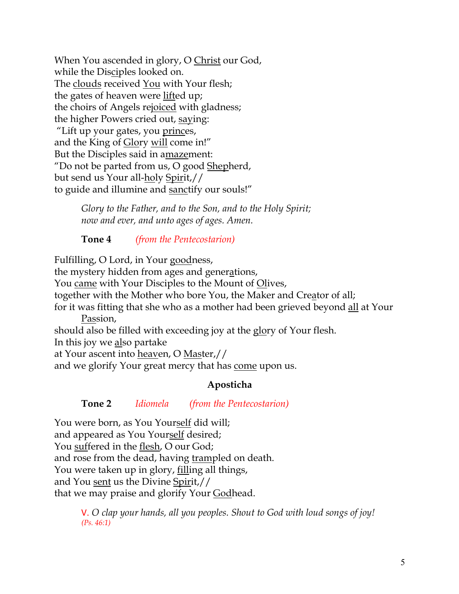When You ascended in glory, O Christ our God, while the Disciples looked on. The clouds received You with Your flesh; the gates of heaven were lifted up; the choirs of Angels rejoiced with gladness; the higher Powers cried out, saying: "Lift up your gates, you princes, and the King of Glory will come in!" But the Disciples said in amazement: "Do not be parted from us, O good Shepherd, but send us Your all-holy Spirit,// to guide and illumine and sanctify our souls!"

> *Glory to the Father, and to the Son, and to the Holy Spirit; now and ever, and unto ages of ages. Amen.*

**Tone 4** *(from the Pentecostarion)*

Fulfilling, O Lord, in Your goodness,

the mystery hidden from ages and generations,

You came with Your Disciples to the Mount of Olives,

together with the Mother who bore You, the Maker and Creator of all;

for it was fitting that she who as a mother had been grieved beyond all at Your Passion,

should also be filled with exceeding joy at the glory of Your flesh.

In this joy we also partake

at Your ascent into heaven, O Master,//

and we glorify Your great mercy that has <u>come</u> upon us.

# **Aposticha**

# **Tone 2** *Idiomela (from the Pentecostarion)*

You were born, as You Yourself did will; and appeared as You Yourself desired; You suffered in the flesh, O our God; and rose from the dead, having trampled on death. You were taken up in glory, filling all things, and You sent us the Divine Spirit,// that we may praise and glorify Your Godhead.

> V. *O clap your hands, all you peoples. Shout to God with loud songs of joy! (Ps. 46:1)*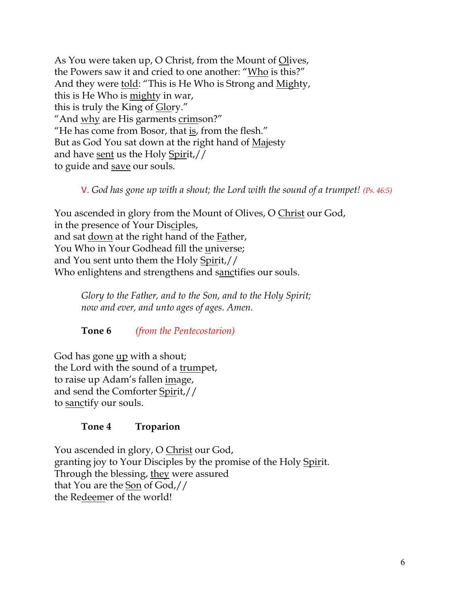As You were taken up, O Christ, from the Mount of Olives, the Powers saw it and cried to one another: "Who is this?" And they were told: "This is He Who is Strong and Mighty, this is He Who is mighty in war, this is truly the King of Glory." "And why are His garments crimson?" "He has come from Bosor, that is, from the flesh." But as God You sat down at the right hand of Majesty and have sent us the Holy Spirit,// to guide and save our souls.

V. *God has gone up with a shout; the Lord with the sound of a trumpet! (Ps. 46:5)*

You ascended in glory from the Mount of Olives, O Christ our God, in the presence of Your Disciples, and sat down at the right hand of the Father, You Who in Your Godhead fill the universe; and You sent unto them the Holy Spirit,// Who enlightens and strengthens and sanctifies our souls.

*Glory to the Father, and to the Son, and to the Holy Spirit; now and ever, and unto ages of ages. Amen.*

**Tone 6** *(from the Pentecostarion)*

God has gone up with a shout; the Lord with the sound of a trumpet, to raise up Adam's fallen image, and send the Comforter Spirit,// to sanctify our souls.

# **Tone 4 Troparion**

You ascended in glory, O Christ our God, granting joy to Your Disciples by the promise of the Holy Spirit. Through the blessing, they were assured that You are the Son of God,// the Redeemer of the world!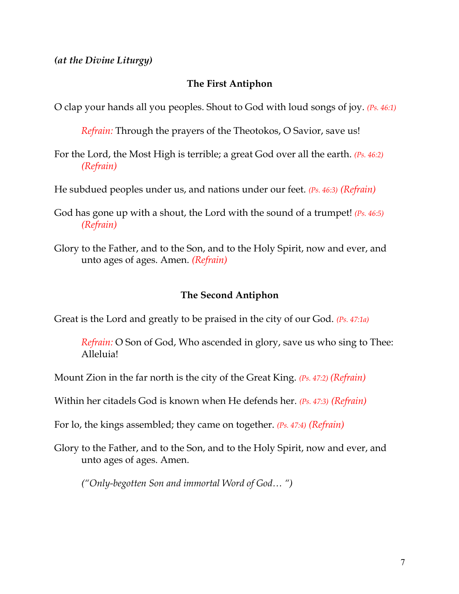*(at the Divine Liturgy)*

### **The First Antiphon**

O clap your hands all you peoples. Shout to God with loud songs of joy. *(Ps. 46:1)*

*Refrain:* Through the prayers of the Theotokos, O Savior, save us!

For the Lord, the Most High is terrible; a great God over all the earth. *(Ps. 46:2) (Refrain)*

He subdued peoples under us, and nations under our feet. *(Ps. 46:3) (Refrain)*

God has gone up with a shout, the Lord with the sound of a trumpet! *(Ps. 46:5) (Refrain)*

Glory to the Father, and to the Son, and to the Holy Spirit, now and ever, and unto ages of ages. Amen. *(Refrain)*

#### **The Second Antiphon**

Great is the Lord and greatly to be praised in the city of our God. *(Ps. 47:1a)*

*Refrain:* O Son of God, Who ascended in glory, save us who sing to Thee: Alleluia!

Mount Zion in the far north is the city of the Great King. *(Ps. 47:2) (Refrain)*

Within her citadels God is known when He defends her. *(Ps. 47:3) (Refrain)*

For lo, the kings assembled; they came on together. *(Ps. 47:4) (Refrain)*

Glory to the Father, and to the Son, and to the Holy Spirit, now and ever, and unto ages of ages. Amen.

*("Only-begotten Son and immortal Word of God… ")*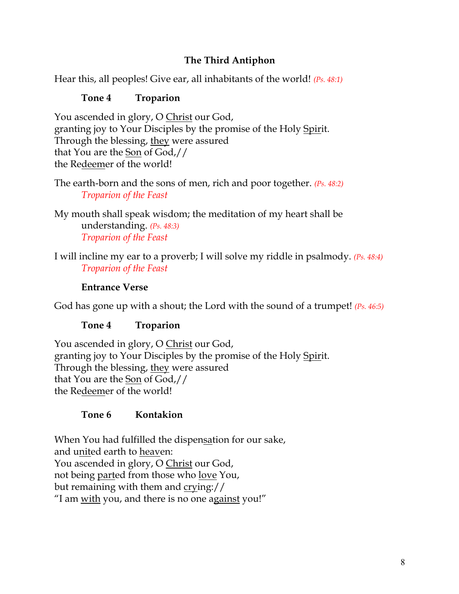## **The Third Antiphon**

Hear this, all peoples! Give ear, all inhabitants of the world! *(Ps. 48:1)*

## **Tone 4 Troparion**

You ascended in glory, O Christ our God, granting joy to Your Disciples by the promise of the Holy Spirit. Through the blessing, they were assured that You are the Son of God,// the Redeemer of the world!

The earth-born and the sons of men, rich and poor together. *(Ps. 48:2) Troparion of the Feast*

My mouth shall speak wisdom; the meditation of my heart shall be understanding. *(Ps. 48:3) Troparion of the Feast*

I will incline my ear to a proverb; I will solve my riddle in psalmody. *(Ps. 48:4) Troparion of the Feast*

## **Entrance Verse**

God has gone up with a shout; the Lord with the sound of a trumpet! *(Ps. 46:5)*

## **Tone 4 Troparion**

You ascended in glory, O Christ our God, granting joy to Your Disciples by the promise of the Holy Spirit. Through the blessing, they were assured that You are the Son of God,// the Redeemer of the world!

# **Tone 6 Kontakion**

When You had fulfilled the dispensation for our sake, and united earth to heaven: You ascended in glory, O Christ our God, not being parted from those who love You, but remaining with them and crying:// "I am with you, and there is no one against you!"